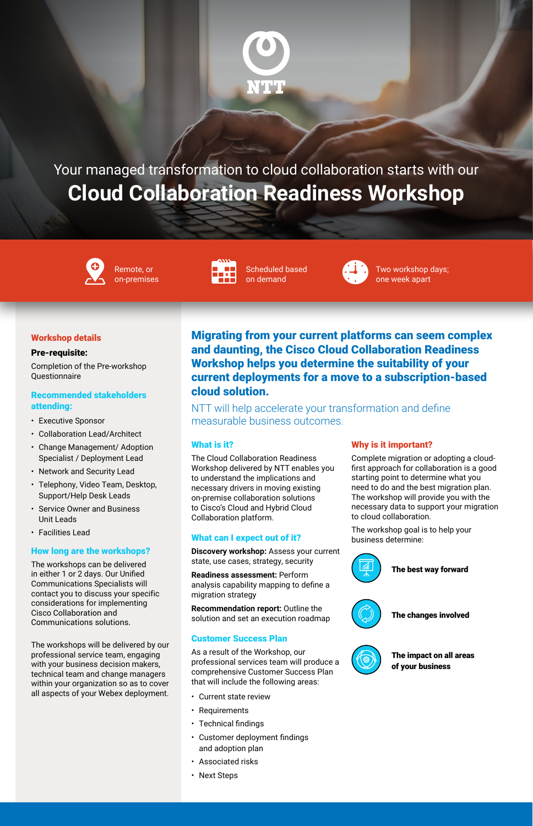

Your managed transformation to cloud collaboration starts with our **Cloud Collaboration Readiness Workshop**



Remote, or on-premises



Scheduled based on demand



Two workshop days; one week apart

#### Workshop details

#### Pre-requisite:

Completion of the Pre-workshop **Questionnaire** 

### Recommended stakeholders attending:

- Executive Sponsor
- Collaboration Lead/Architect
- Change Management/ Adoption Specialist / Deployment Lead
- Network and Security Lead
- Telephony, Video Team, Desktop, Support/Help Desk Leads
- Service Owner and Business Unit Leads
- Facilities Lead

#### How long are the workshops?

The workshops can be delivered in either 1 or 2 days. Our Unified Communications Specialists will contact you to discuss your specific considerations for implementing Cisco Collaboration and Communications solutions.

The workshops will be delivered by our professional service team, engaging with your business decision makers, technical team and change managers within your organization so as to cover all aspects of your Webex deployment. Migrating from your current platforms can seem complex and daunting, the Cisco Cloud Collaboration Readiness Workshop helps you determine the suitability of your current deployments for a move to a subscription-based cloud solution.

NTT will help accelerate your transformation and define measurable business outcomes.

## What is it?

The Cloud Collaboration Readiness Workshop delivered by NTT enables you to understand the implications and necessary drivers in moving existing on-premise collaboration solutions to Cisco's Cloud and Hybrid Cloud Collaboration platform.

## What can I expect out of it?

**Discovery workshop:** Assess your current state, use cases, strategy, security

**Readiness assessment:** Perform analysis capability mapping to define a migration strategy

**Recommendation report:** Outline the solution and set an execution roadmap

#### Customer Success Plan

As a result of the Workshop, our professional services team will produce a comprehensive Customer Success Plan that will include the following areas:

- Current state review
- Requirements
- Technical findings
- Customer deployment findings and adoption plan
- Associated risks
- Next Steps

## Why is it important?

Complete migration or adopting a cloudfirst approach for collaboration is a good starting point to determine what you need to do and the best migration plan. The workshop will provide you with the necessary data to support your migration to cloud collaboration.

The workshop goal is to help your business determine:



## The best way forward



The changes involved

The impact on all areas of your business